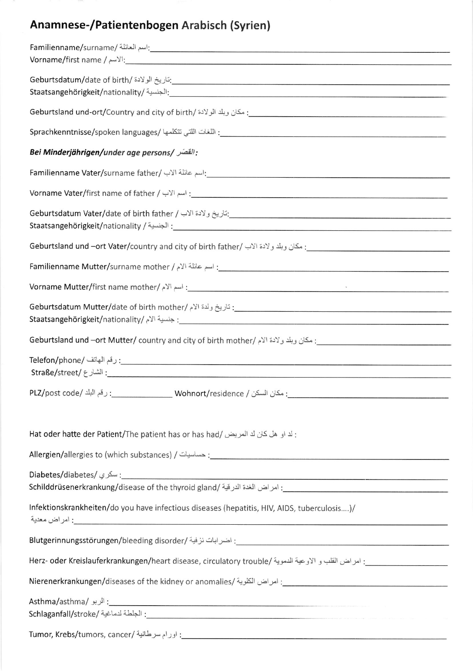## Anamnese-/Patientenbogen Arabisch (Syrien)

| - اسم العائلة /Familienname/surname/                                                                                             |
|----------------------------------------------------------------------------------------------------------------------------------|
| <code>Vorname/first</code> name / الآسم / $\cdot$                                                                                |
|                                                                                                                                  |
|                                                                                                                                  |
|                                                                                                                                  |
| : القَصَر /Bei Minderjährigen/under age persons                                                                                  |
|                                                                                                                                  |
|                                                                                                                                  |
| - الجنسية / Staatsangehörigkeit/nationality / الجنسية /                                                                          |
|                                                                                                                                  |
|                                                                                                                                  |
| Vorname Mutter/first name mother/ إسم الأم / /vorname Mutter/first name mother                                                   |
|                                                                                                                                  |
|                                                                                                                                  |
| . زقم الهاتف /Telefon/phone: زقم الهاتف /Telefon/                                                                                |
|                                                                                                                                  |
| : لد او هل كان لد المريض /Hat oder hatte der Patient/The patient has or has had                                                  |
|                                                                                                                                  |
| Infektionskrankheiten/do you have infectious diseases (hepatitis, HIV, AIDS, tuberculosis)/<br>: امر اض معدية                    |
|                                                                                                                                  |
|                                                                                                                                  |
| Nierenerkrankungen/diseases of the kidney or anomalies/ : امراض الكلوية /Nierenerkrankungen/diseases of the kidney or anomalies/ |
|                                                                                                                                  |
|                                                                                                                                  |
|                                                                                                                                  |